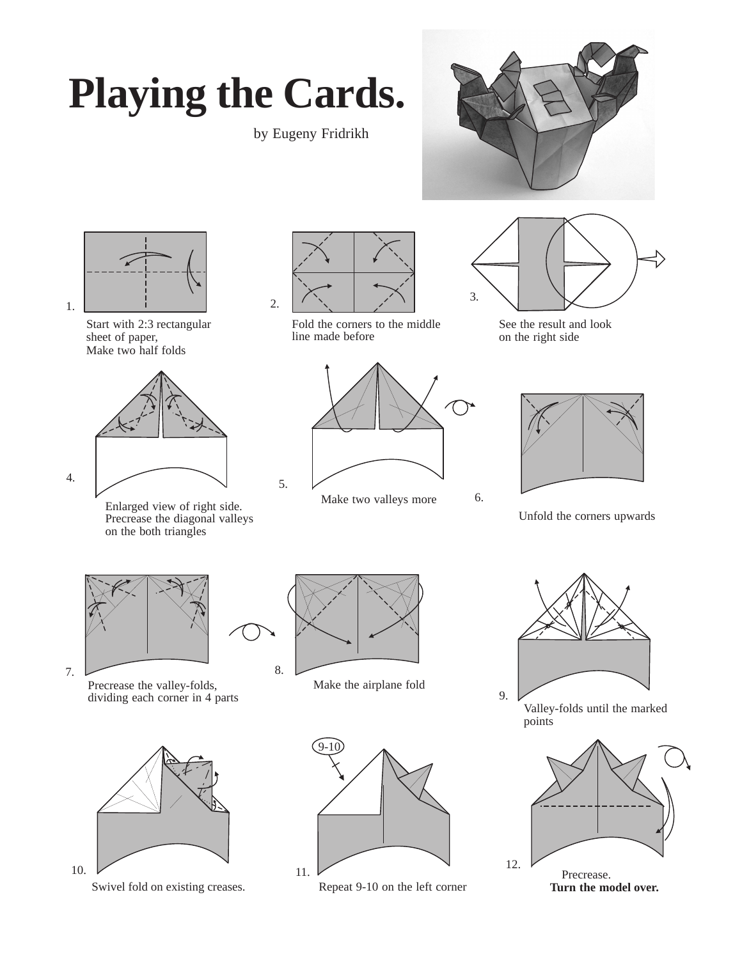## **Playing the Cards.**

by Eugeny Fridrikh





Start with 2:3 rectangular sheet of paper, Make two half folds



Enlarged view of right side. Precrease the diagonal valleys on the both triangles



Fold the corners to the middle line made before



Make two valleys more



See the result and look on the right side



Unfold the corners upwards



Precrease the valley-folds,<br>
dividing each corner in 4 parts 9.



Swivel fold on existing creases.



Make the airplane fold



Repeat 9-10 on the left corner



Valley-folds until the marked points

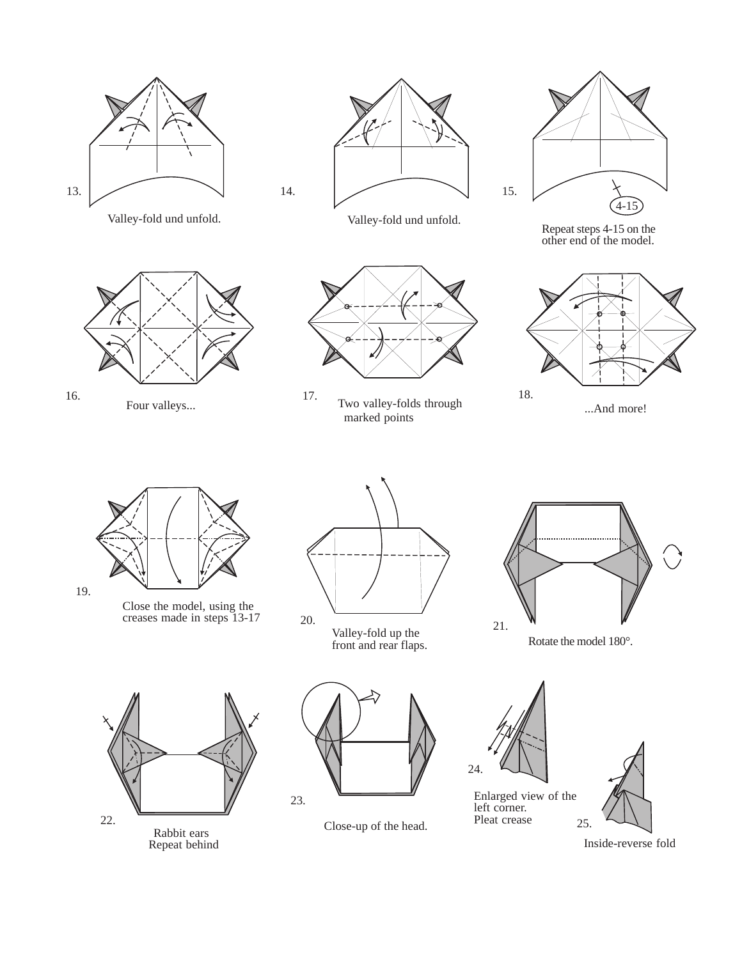









Repeat steps 4-15 on the other end of the model.



...And more!



Close the model, using the creases made in steps 13-17



marked points

20. Valley-fold up the 21. W V<br>front and rear flaps. Rotate the model  $180^\circ$ .











Inside-reverse fold